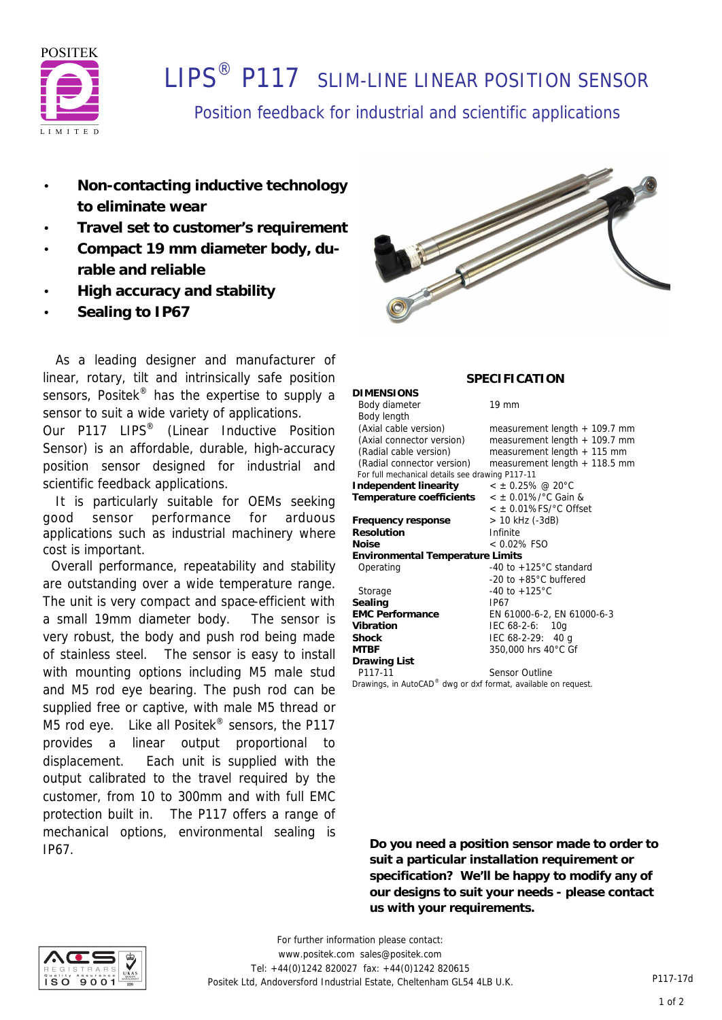

# **LIPS<sup>®</sup> P117** SLIM-LINE LINEAR POSITION SENSOR

### Position feedback for industrial and scientific applications

**DIMENSIONS**

- **Non-contacting inductive technology to eliminate wear**
- **Travel set to customer's requirement**
- **Compact 19 mm diameter body, durable and reliable**
- **High accuracy and stability**
- **Sealing to IP67**

 As a leading designer and manufacturer of linear, rotary, tilt and intrinsically safe position sensors, Positek<sup>®</sup> has the expertise to supply a sensor to suit a wide variety of applications.

Our P117 LIPS<sup>®</sup> (Linear Inductive Position Sensor) is an affordable, durable, high-accuracy position sensor designed for industrial and scientific feedback applications.

 It is particularly suitable for OEMs seeking good sensor performance for arduous applications such as industrial machinery where cost is important.

 Overall performance, repeatability and stability are outstanding over a wide temperature range. The unit is very compact and space-efficient with a small 19mm diameter body. The sensor is very robust, the body and push rod being made of stainless steel. The sensor is easy to install with mounting options including M5 male stud and M5 rod eye bearing. The push rod can be supplied free or captive, with male M5 thread or M5 rod eye. Like all Positek<sup>®</sup> sensors, the P117 provides a linear output proportional to displacement. Each unit is supplied with the output calibrated to the travel required by the customer, from 10 to 300mm and with full EMC protection built in. The P117 offers a range of mechanical options, environmental sealing is IP67.



### **SPECIFICATION**

Body diameter 19 mm

| Body length                                     |                                        |  |  |  |
|-------------------------------------------------|----------------------------------------|--|--|--|
| (Axial cable version)                           | measurement length $+$ 109.7 mm        |  |  |  |
| (Axial connector version)                       | measurement length $+$ 109.7 mm        |  |  |  |
| (Radial cable version)                          | measurement length $+$ 115 mm          |  |  |  |
| (Radial connector version)                      | measurement length + 118.5 mm          |  |  |  |
| For full mechanical details see drawing P117-11 |                                        |  |  |  |
| Independent linearity                           | $<$ ± 0.25% @ 20°C                     |  |  |  |
| Temperature coefficients                        | $<$ ± 0.01%/ $^{\circ}$ C Gain &       |  |  |  |
|                                                 | $<$ $\pm$ 0.01%FS/ $^{\circ}$ C Offset |  |  |  |
| Frequency response                              | > 10 kHz (-3dB)                        |  |  |  |
| Resolution                                      | Infinite                               |  |  |  |
| Noise                                           | $< 0.02\%$ FSO                         |  |  |  |
| Environmental Temperature Limits                |                                        |  |  |  |
| Operating                                       | -40 to $+125^{\circ}$ C standard       |  |  |  |
|                                                 | -20 to $+85^{\circ}$ C buffered        |  |  |  |
| Storage                                         | $-40$ to $+125^{\circ}$ C              |  |  |  |
| Sealing                                         | IP67                                   |  |  |  |
| <b>EMC Performance</b>                          | EN 61000-6-2, EN 61000-6-3             |  |  |  |
| Vibration                                       | $IEC 68-2-6: 10q$                      |  |  |  |
| Shock                                           | IEC $68-2-29$ : 40 g                   |  |  |  |
| MTBF                                            | 350,000 hrs 40°C Gf                    |  |  |  |
| Drawing List                                    |                                        |  |  |  |
| P117-11                                         | Sensor Outline                         |  |  |  |

*Drawings, in AutoCAD® dwg or dxf format, available on request.*

**Do you need a position sensor made to order to suit a particular installation requirement or specification? We'll be happy to modify any of our designs to suit your needs - please contact us with your requirements.**